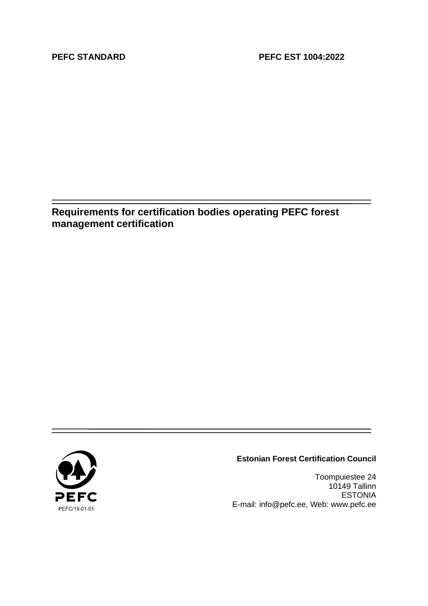**Requirements for certification bodies operating PEFC forest management certification**



#### **Estonian Forest Certification Council**

Toompuiestee 24 10149 Tallinn ESTONIA E-mail: info@pefc.ee, Web: www.pefc.ee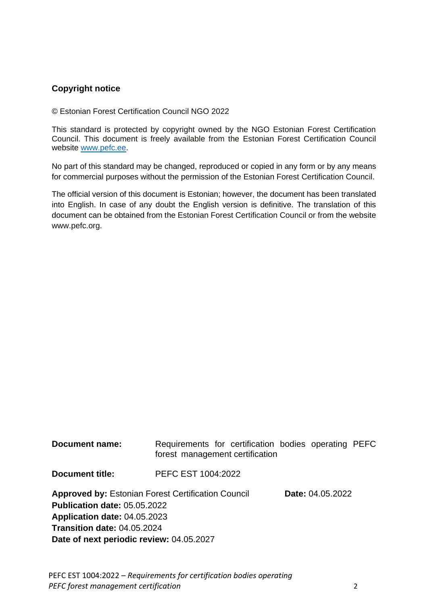### **Copyright notice**

© Estonian Forest Certification Council NGO 2022

This standard is protected by copyright owned by the NGO Estonian Forest Certification Council. This document is freely available from the Estonian Forest Certification Council website [www.pefc.ee.](http://www.pefc.ee/)

No part of this standard may be changed, reproduced or copied in any form or by any means for commercial purposes without the permission of the Estonian Forest Certification Council.

The official version of this document is Estonian; however, the document has been translated into English. In case of any doubt the English version is definitive. The translation of this document can be obtained from the Estonian Forest Certification Council or from the website www.pefc.org.

| <b>Document name:</b>                                     | Requirements for certification bodies operating PEFC<br>forest management certification |  |                  |  |  |
|-----------------------------------------------------------|-----------------------------------------------------------------------------------------|--|------------------|--|--|
| <b>Document title:</b>                                    | PEFC EST 1004:2022                                                                      |  |                  |  |  |
| <b>Approved by: Estonian Forest Certification Council</b> |                                                                                         |  | Date: 04.05.2022 |  |  |
| <b>Publication date: 05.05.2022</b>                       |                                                                                         |  |                  |  |  |
| Application date: 04.05.2023                              |                                                                                         |  |                  |  |  |
| <b>Transition date: 04.05.2024</b>                        |                                                                                         |  |                  |  |  |
| Date of next periodic review: 04.05.2027                  |                                                                                         |  |                  |  |  |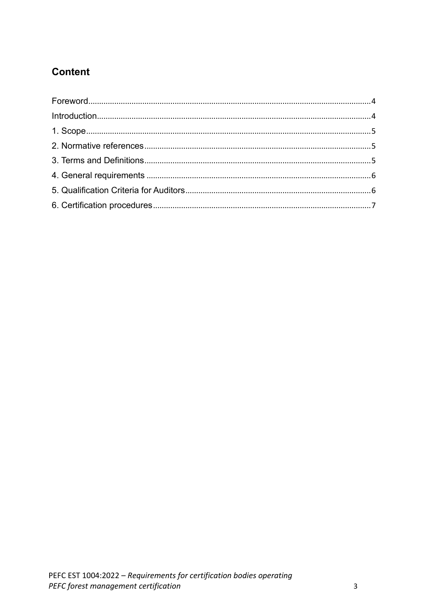# **Content**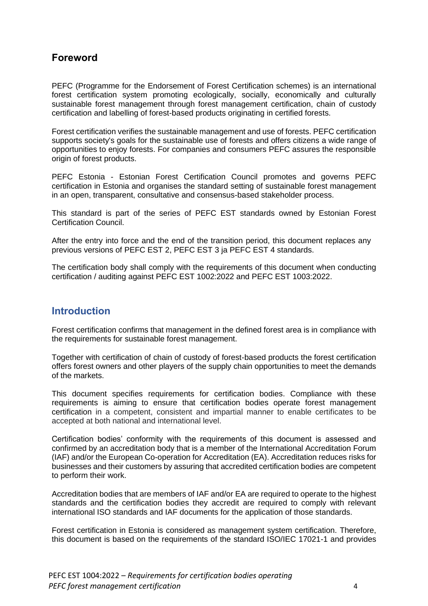### <span id="page-3-0"></span>**Foreword**

PEFC (Programme for the Endorsement of Forest Certification schemes) is an international forest certification system promoting ecologically, socially, economically and culturally sustainable forest management through forest management certification, chain of custody certification and labelling of forest-based products originating in certified forests.

Forest certification verifies the sustainable management and use of forests. PEFC certification supports society's goals for the sustainable use of forests and offers citizens a wide range of opportunities to enjoy forests. For companies and consumers PEFC assures the responsible origin of forest products.

PEFC Estonia - Estonian Forest Certification Council promotes and governs PEFC certification in Estonia and organises the standard setting of sustainable forest management in an open, transparent, consultative and consensus-based stakeholder process.

This standard is part of the series of PEFC EST standards owned by Estonian Forest Certification Council.

After the entry into force and the end of the transition period, this document replaces any previous versions of PEFC EST 2, PEFC EST 3 ja PEFC EST 4 standards.

The certification body shall comply with the requirements of this document when conducting certification / auditing against PEFC EST 1002:2022 and PEFC EST 1003:2022.

### <span id="page-3-1"></span>**Introduction**

Forest certification confirms that management in the defined forest area is in compliance with the requirements for sustainable forest management.

Together with certification of chain of custody of forest-based products the forest certification offers forest owners and other players of the supply chain opportunities to meet the demands of the markets.

This document specifies requirements for certification bodies. Compliance with these requirements is aiming to ensure that certification bodies operate forest management certification in a competent, consistent and impartial manner to enable certificates to be accepted at both national and international level.

Certification bodies' conformity with the requirements of this document is assessed and confirmed by an accreditation body that is a member of the International Accreditation Forum (IAF) and/or the European Co-operation for Accreditation (EA). Accreditation reduces risks for businesses and their customers by assuring that accredited certification bodies are competent to perform their work.

Accreditation bodies that are members of IAF and/or EA are required to operate to the highest standards and the certification bodies they accredit are required to comply with relevant international ISO standards and IAF documents for the application of those standards.

Forest certification in Estonia is considered as management system certification. Therefore, this document is based on the requirements of the standard ISO/IEC 17021-1 and provides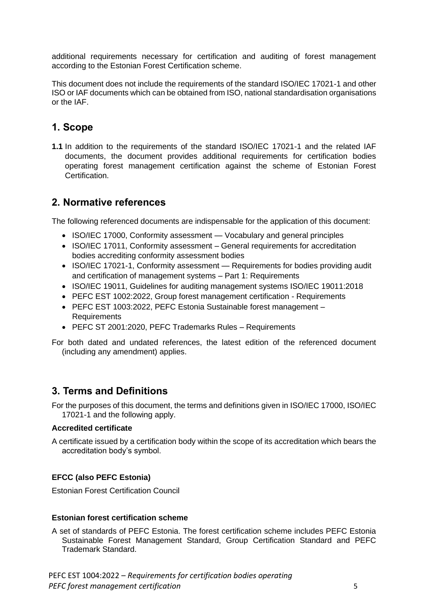additional requirements necessary for certification and auditing of forest management according to the Estonian Forest Certification scheme.

This document does not include the requirements of the standard ISO/IEC 17021-1 and other ISO or IAF documents which can be obtained from ISO, national standardisation organisations or the IAF.

## <span id="page-4-0"></span>**1. Scope**

**1.1** In addition to the requirements of the standard ISO/IEC 17021-1 and the related IAF documents, the document provides additional requirements for certification bodies operating forest management certification against the scheme of Estonian Forest Certification.

## <span id="page-4-1"></span>**2. Normative references**

The following referenced documents are indispensable for the application of this document:

- ISO/IEC 17000, Conformity assessment Vocabulary and general principles
- ISO/IEC 17011, Conformity assessment General requirements for accreditation bodies accrediting conformity assessment bodies
- ISO/IEC 17021-1, Conformity assessment Requirements for bodies providing audit and certification of management systems – Part 1: Requirements
- ISO/IEC 19011, Guidelines for auditing management systems ISO/IEC 19011:2018
- PEFC EST 1002:2022, Group forest management certification Requirements
- PEFC EST 1003:2022, PEFC Estonia Sustainable forest management Requirements
- PEFC ST 2001:2020, PEFC Trademarks Rules Requirements

For both dated and undated references, the latest edition of the referenced document (including any amendment) applies.

### <span id="page-4-2"></span>**3. Terms and Definitions**

For the purposes of this document, the terms and definitions given in ISO/IEC 17000, ISO/IEC 17021-1 and the following apply.

#### **Accredited certificate**

A certificate issued by a certification body within the scope of its accreditation which bears the accreditation body's symbol.

#### **EFCC (also PEFC Estonia)**

Estonian Forest Certification Council

#### **Estonian forest certification scheme**

A set of standards of PEFC Estonia. The forest certification scheme includes PEFC Estonia Sustainable Forest Management Standard, Group Certification Standard and PEFC Trademark Standard.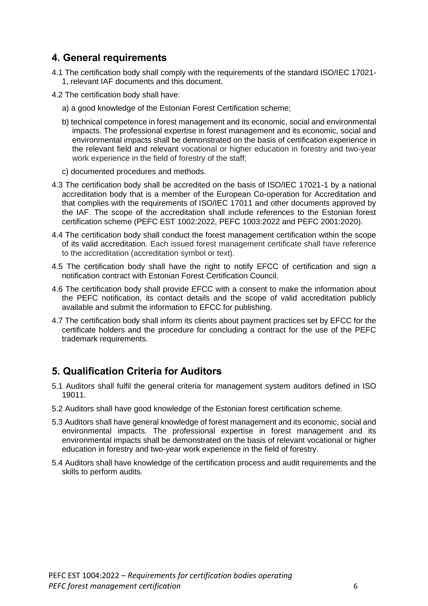# <span id="page-5-0"></span>**4. General requirements**

- 4.1 The certification body shall comply with the requirements of the standard ISO/IEC 17021- 1, relevant IAF documents and this document.
- 4.2 The certification body shall have:
	- a) a good knowledge of the Estonian Forest Certification scheme;
	- b) technical competence in forest management and its economic, social and environmental impacts. The professional expertise in forest management and its economic, social and environmental impacts shall be demonstrated on the basis of certification experience in the relevant field and relevant vocational or higher education in forestry and two-year work experience in the field of forestry of the staff;
	- c) documented procedures and methods.
- 4.3 The certification body shall be accredited on the basis of ISO/IEC 17021-1 by a national accreditation body that is a member of the European Co-operation for Accreditation and that complies with the requirements of ISO/IEC 17011 and other documents approved by the IAF. The scope of the accreditation shall include references to the Estonian forest certification scheme (PEFC EST 1002:2022, PEFC 1003:2022 and PEFC 2001:2020).
- 4.4 The certification body shall conduct the forest management certification within the scope of its valid accreditation. Each issued forest management certificate shall have reference to the accreditation (accreditation symbol or text).
- 4.5 The certification body shall have the right to notify EFCC of certification and sign a notification contract with Estonian Forest Certification Council.
- 4.6 The certification body shall provide EFCC with a consent to make the information about the PEFC notification, its contact details and the scope of valid accreditation publicly available and submit the information to EFCC for publishing.
- 4.7 The certification body shall inform its clients about payment practices set by EFCC for the certificate holders and the procedure for concluding a contract for the use of the PEFC trademark requirements.

# <span id="page-5-1"></span>**5. Qualification Criteria for Auditors**

- 5.1 Auditors shall fulfil the general criteria for management system auditors defined in ISO 19011.
- 5.2 Auditors shall have good knowledge of the Estonian forest certification scheme.
- 5.3 Auditors shall have general knowledge of forest management and its economic, social and environmental impacts. The professional expertise in forest management and its environmental impacts shall be demonstrated on the basis of relevant vocational or higher education in forestry and two-year work experience in the field of forestry.
- 5.4 Auditors shall have knowledge of the certification process and audit requirements and the skills to perform audits.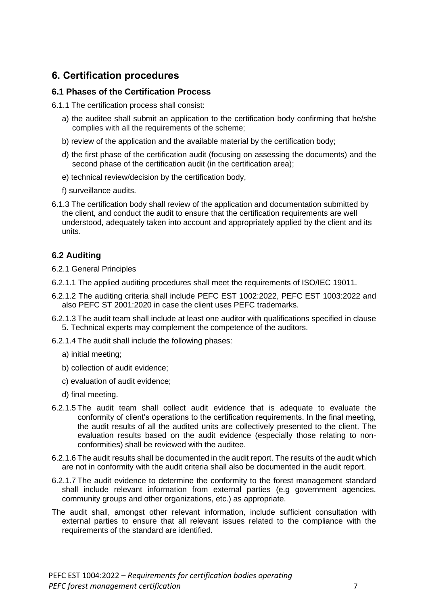## <span id="page-6-0"></span>**6. Certification procedures**

#### **6.1 Phases of the Certification Process**

6.1.1 The certification process shall consist:

- a) the auditee shall submit an application to the certification body confirming that he/she complies with all the requirements of the scheme;
- b) review of the application and the available material by the certification body;
- d) the first phase of the certification audit (focusing on assessing the documents) and the second phase of the certification audit (in the certification area);
- e) technical review/decision by the certification body,
- f) surveillance audits.
- 6.1.3 The certification body shall review of the application and documentation submitted by the client, and conduct the audit to ensure that the certification requirements are well understood, adequately taken into account and appropriately applied by the client and its units.

### **6.2 Auditing**

6.2.1 General Principles

- 6.2.1.1 The applied auditing procedures shall meet the requirements of ISO/IEC 19011.
- 6.2.1.2 The auditing criteria shall include PEFC EST 1002:2022, PEFC EST 1003:2022 and also PEFC ST 2001:2020 in case the client uses PEFC trademarks.
- 6.2.1.3 The audit team shall include at least one auditor with qualifications specified in clause 5. Technical experts may complement the competence of the auditors.
- 6.2.1.4 The audit shall include the following phases:
	- a) initial meeting;
	- b) collection of audit evidence;
	- c) evaluation of audit evidence;
	- d) final meeting.
- 6.2.1.5 The audit team shall collect audit evidence that is adequate to evaluate the conformity of client's operations to the certification requirements. In the final meeting, the audit results of all the audited units are collectively presented to the client. The evaluation results based on the audit evidence (especially those relating to nonconformities) shall be reviewed with the auditee.
- 6.2.1.6 The audit results shall be documented in the audit report. The results of the audit which are not in conformity with the audit criteria shall also be documented in the audit report.
- 6.2.1.7 The audit evidence to determine the conformity to the forest management standard shall include relevant information from external parties (e.g government agencies, community groups and other organizations, etc.) as appropriate.
- The audit shall, amongst other relevant information, include sufficient consultation with external parties to ensure that all relevant issues related to the compliance with the requirements of the standard are identified.